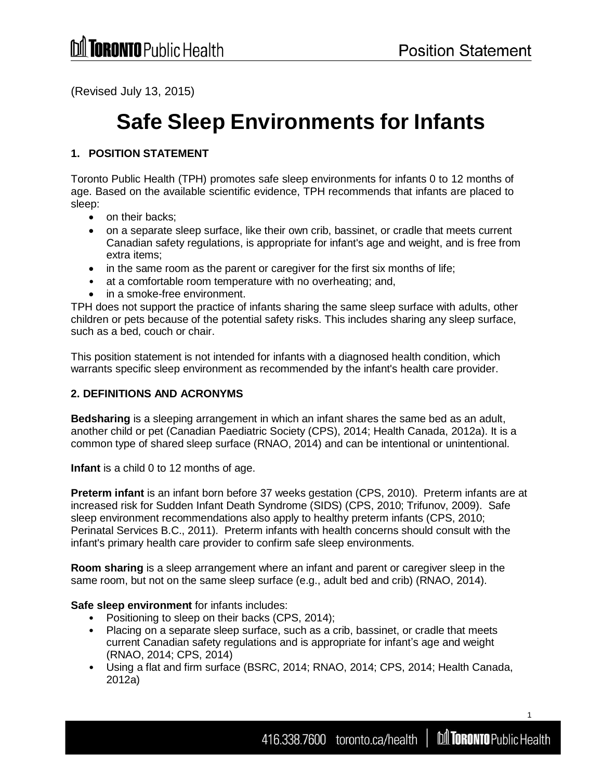(Revised July 13, 2015)

# **Safe Sleep Environments for Infants**

# **1. POSITION STATEMENT**

Toronto Public Health (TPH) promotes safe sleep environments for infants 0 to 12 months of age. Based on the available scientific evidence, TPH recommends that infants are placed to sleep:

- on their backs;
- on a separate sleep surface, like their own crib, bassinet, or cradle that meets current Canadian safety regulations, is appropriate for infant's age and weight, and is free from extra items;
- in the same room as the parent or caregiver for the first six months of life;
- at a comfortable room temperature with no overheating; and,
- in a smoke-free environment.

TPH does not support the practice of infants sharing the same sleep surface with adults, other children or pets because of the potential safety risks. This includes sharing any sleep surface, such as a bed, couch or chair.

This position statement is not intended for infants with a diagnosed health condition, which warrants specific sleep environment as recommended by the infant's health care provider.

## **2. DEFINITIONS AND ACRONYMS**

**Bedsharing** is a sleeping arrangement in which an infant shares the same bed as an adult, another child or pet (Canadian Paediatric Society (CPS), 2014; Health Canada, 2012a). It is a common type of shared sleep surface (RNAO, 2014) and can be intentional or unintentional.

**Infant** is a child 0 to 12 months of age.

**Preterm infant** is an infant born before 37 weeks gestation (CPS, 2010). Preterm infants are at increased risk for Sudden Infant Death Syndrome (SIDS) (CPS, 2010; Trifunov, 2009). Safe sleep environment recommendations also apply to healthy preterm infants (CPS, 2010; Perinatal Services B.C., 2011). Preterm infants with health concerns should consult with the infant's primary health care provider to confirm safe sleep environments.

**Room sharing** is a sleep arrangement where an infant and parent or caregiver sleep in the same room, but not on the same sleep surface (e.g., adult bed and crib) (RNAO, 2014).

#### **Safe sleep environment** for infants includes:

- Positioning to sleep on their backs (CPS, 2014);
- Placing on a separate sleep surface, such as a crib, bassinet, or cradle that meets current Canadian safety regulations and is appropriate for infant's age and weight (RNAO, 2014; CPS, 2014)
- Using a flat and firm surface (BSRC, 2014; RNAO, 2014; CPS, 2014; Health Canada, 2012a)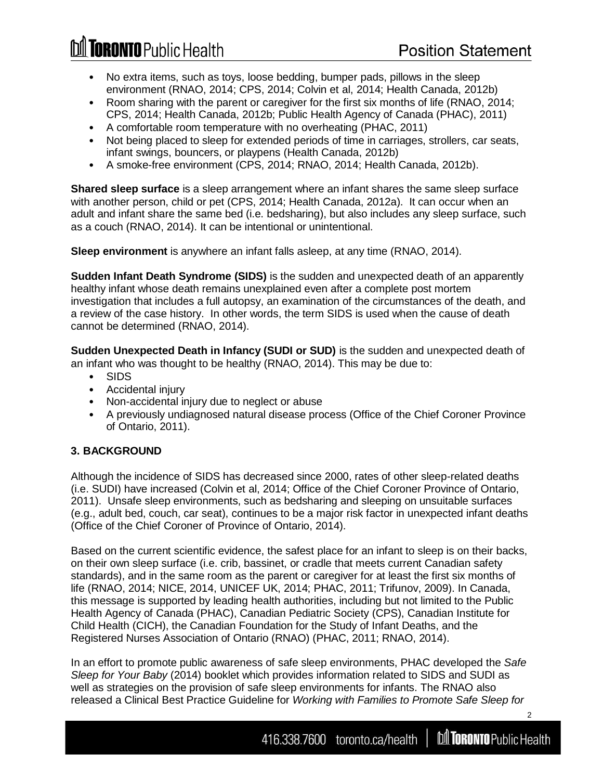**Toronto Public Health** 

- No extra items, such as toys, loose bedding, bumper pads, pillows in the sleep environment (RNAO, 2014; CPS, 2014; Colvin et al, 2014; Health Canada, 2012b)
- Room sharing with the parent or caregiver for the first six months of life (RNAO, 2014; CPS, 2014; Health Canada, 2012b; Public Health Agency of Canada (PHAC), 2011)
- A comfortable room temperature with no overheating (PHAC, 2011)
- Not being placed to sleep for extended periods of time in carriages, strollers, car seats, infant swings, bouncers, or playpens (Health Canada, 2012b)
- A smoke-free environment (CPS, 2014; RNAO, 2014; Health Canada, 2012b).

**Shared sleep surface** is a sleep arrangement where an infant shares the same sleep surface with another person, child or pet (CPS, 2014; Health Canada, 2012a). It can occur when an adult and infant share the same bed (i.e. bedsharing), but also includes any sleep surface, such as a couch (RNAO, 2014). It can be intentional or unintentional.

**Sleep environment** is anywhere an infant falls asleep, at any time (RNAO, 2014).

**Sudden Infant Death Syndrome (SIDS)** is the sudden and unexpected death of an apparently healthy infant whose death remains unexplained even after a complete post mortem investigation that includes a full autopsy, an examination of the circumstances of the death, and a review of the case history. In other words, the term SIDS is used when the cause of death cannot be determined (RNAO, 2014).

**Sudden Unexpected Death in Infancy (SUDI or SUD)** is the sudden and unexpected death of an infant who was thought to be healthy (RNAO, 2014). This may be due to:

- SIDS
- Accidental injury
- Non-accidental injury due to neglect or abuse
- A previously undiagnosed natural disease process (Office of the Chief Coroner Province of Ontario, 2011).

#### **3. BACKGROUND**

Although the incidence of SIDS has decreased since 2000, rates of other sleep-related deaths (i.e. SUDI) have increased (Colvin et al, 2014; Office of the Chief Coroner Province of Ontario, 2011). Unsafe sleep environments, such as bedsharing and sleeping on unsuitable surfaces (e.g., adult bed, couch, car seat), continues to be a major risk factor in unexpected infant deaths (Office of the Chief Coroner of Province of Ontario, 2014).

Based on the current scientific evidence, the safest place for an infant to sleep is on their backs, on their own sleep surface (i.e. crib, bassinet, or cradle that meets current Canadian safety standards), and in the same room as the parent or caregiver for at least the first six months of life (RNAO, 2014; NICE, 2014, UNICEF UK, 2014; PHAC, 2011; Trifunov, 2009). In Canada, this message is supported by leading health authorities, including but not limited to the Public Health Agency of Canada (PHAC), Canadian Pediatric Society (CPS), Canadian Institute for Child Health (CICH), the Canadian Foundation for the Study of Infant Deaths, and the Registered Nurses Association of Ontario (RNAO) (PHAC, 2011; RNAO, 2014).

In an effort to promote public awareness of safe sleep environments, PHAC developed the *Safe Sleep for Your Baby* (2014) booklet which provides information related to SIDS and SUDI as well as strategies on the provision of safe sleep environments for infants. The RNAO also released a Clinical Best Practice Guideline for *Working with Families to Promote Safe Sleep for*

416.338.7600 toronto.ca/health | **Information** Public Health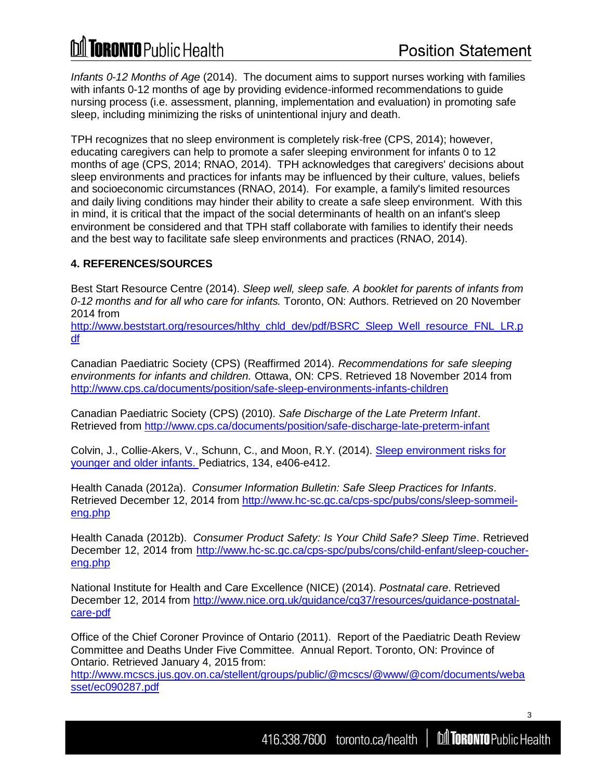*Infants 0-12 Months of Age* (2014). The document aims to support nurses working with families with infants 0-12 months of age by providing evidence-informed recommendations to guide nursing process (i.e. assessment, planning, implementation and evaluation) in promoting safe sleep, including minimizing the risks of unintentional injury and death.

TPH recognizes that no sleep environment is completely risk-free (CPS, 2014); however, educating caregivers can help to promote a safer sleeping environment for infants 0 to 12 months of age (CPS, 2014; RNAO, 2014). TPH acknowledges that caregivers' decisions about sleep environments and practices for infants may be influenced by their culture, values, beliefs and socioeconomic circumstances (RNAO, 2014). For example, a family's limited resources and daily living conditions may hinder their ability to create a safe sleep environment. With this in mind, it is critical that the impact of the social determinants of health on an infant's sleep environment be considered and that TPH staff collaborate with families to identify their needs and the best way to facilitate safe sleep environments and practices (RNAO, 2014).

# **4. REFERENCES/SOURCES**

Best Start Resource Centre (2014). *Sleep well, sleep safe. A booklet for parents of infants from 0-12 months and for all who care for infants.* Toronto, ON: Authors. Retrieved on 20 November 2014 from

[http://www.beststart.org/resources/hlthy\\_chld\\_dev/pdf/BSRC\\_Sleep\\_Well\\_resource\\_FNL\\_LR.p](http://www.beststart.org/resources/hlthy_chld_dev/pdf/BSRC_Sleep_Well_resource_FNL_LR.pdf) [df](http://www.beststart.org/resources/hlthy_chld_dev/pdf/BSRC_Sleep_Well_resource_FNL_LR.pdf)

Canadian Paediatric Society (CPS) (Reaffirmed 2014). *Recommendations for safe sleeping environments for infants and children.* Ottawa, ON: CPS. Retrieved 18 November 2014 from <http://www.cps.ca/documents/position/safe-sleep-environments-infants-children>

Canadian Paediatric Society (CPS) (2010). *Safe Discharge of the Late Preterm Infant*. Retrieved from<http://www.cps.ca/documents/position/safe-discharge-late-preterm-infant>

Colvin, J., Collie-Akers, V., Schunn, C., and Moon, R.Y. (2014). [Sleep environment risks for](http://pediatrics.aappublications.org/content/early/2014/07/09/peds.2014-0401.abstract) [younger and older infants. P](http://pediatrics.aappublications.org/content/early/2014/07/09/peds.2014-0401.abstract)ediatrics, 134, e406-e412.

Health Canada (2012a). *Consumer Information Bulletin: Safe Sleep Practices for Infants*. Retrieved December 12, 2014 from [http://www.hc-sc.gc.ca/cps-spc/pubs/cons/sleep-sommeil](http://www.hc-sc.gc.ca/cps-spc/pubs/cons/sleep-sommeil-eng.php)[eng.php](http://www.hc-sc.gc.ca/cps-spc/pubs/cons/sleep-sommeil-eng.php)

Health Canada (2012b). *Consumer Product Safety: Is Your Child Safe? Sleep Time*. Retrieved December 12, 2014 from [http://www.hc-sc.gc.ca/cps-spc/pubs/cons/child-enfant/sleep-coucher](http://www.hc-sc.gc.ca/cps-spc/pubs/cons/child-enfant/sleep-coucher-eng.php)[eng.php](http://www.hc-sc.gc.ca/cps-spc/pubs/cons/child-enfant/sleep-coucher-eng.php)

National Institute for Health and Care Excellence (NICE) (2014). *Postnatal care*. Retrieved December 12, 2014 from [http://www.nice.org.uk/guidance/cg37/resources/guidance-postnatal](http://www.nice.org.uk/guidance/cg37/resources/guidance-postnatal-care-pdf)[care-pdf](http://www.nice.org.uk/guidance/cg37/resources/guidance-postnatal-care-pdf)

Office of the Chief Coroner Province of Ontario (2011). Report of the Paediatric Death Review Committee and Deaths Under Five Committee. Annual Report. Toronto, ON: Province of Ontario. Retrieved January 4, 2015 from:

[http://www.mcscs.jus.gov.on.ca/stellent/groups/public/@mcscs/@www/@com/documents/weba](http://www.mcscs.jus.gov.on.ca/stellent/groups/public/%40mcscs/%40www/%40com/documents/webasset/ec090287.pdf) [sset/ec090287.pdf](http://www.mcscs.jus.gov.on.ca/stellent/groups/public/%40mcscs/%40www/%40com/documents/webasset/ec090287.pdf)